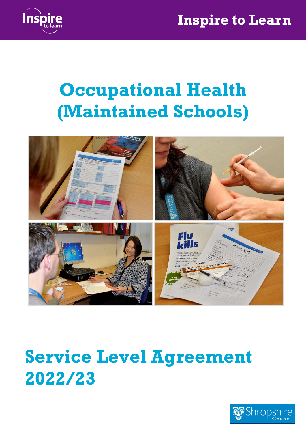

# Occupational Health (Maintained Schools)



# Service Level Agreement 2022/23

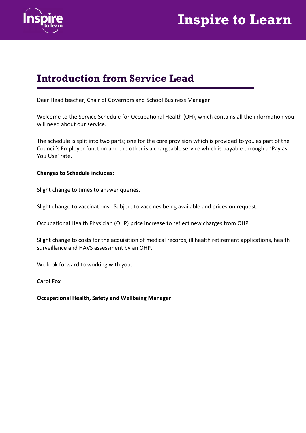

## Inspire to Learn

### Introduction from Service Lead

Dear Head teacher, Chair of Governors and School Business Manager

Welcome to the Service Schedule for Occupational Health (OH), which contains all the information you will need about our service.

The schedule is split into two parts; one for the core provision which is provided to you as part of the Council's Employer function and the other is a chargeable service which is payable through a 'Pay as You Use' rate.

#### Changes to Schedule includes:

Slight change to times to answer queries.

Slight change to vaccinations. Subject to vaccines being available and prices on request.

Occupational Health Physician (OHP) price increase to reflect new charges from OHP.

Slight change to costs for the acquisition of medical records, ill health retirement applications, health surveillance and HAVS assessment by an OHP.

We look forward to working with you.

#### Carol Fox

Occupational Health, Safety and Wellbeing Manager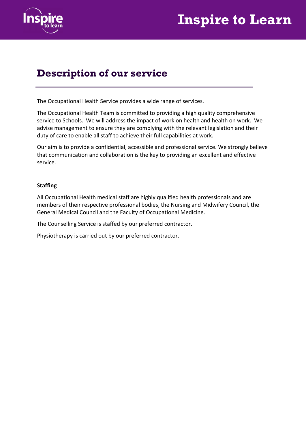

### Description of our service

The Occupational Health Service provides a wide range of services.

The Occupational Health Team is committed to providing a high quality comprehensive service to Schools. We will address the impact of work on health and health on work. We advise management to ensure they are complying with the relevant legislation and their duty of care to enable all staff to achieve their full capabilities at work.

Our aim is to provide a confidential, accessible and professional service. We strongly believe that communication and collaboration is the key to providing an excellent and effective service.

### **Staffing**

All Occupational Health medical staff are highly qualified health professionals and are members of their respective professional bodies, the Nursing and Midwifery Council, the General Medical Council and the Faculty of Occupational Medicine.

The Counselling Service is staffed by our preferred contractor.

Physiotherapy is carried out by our preferred contractor.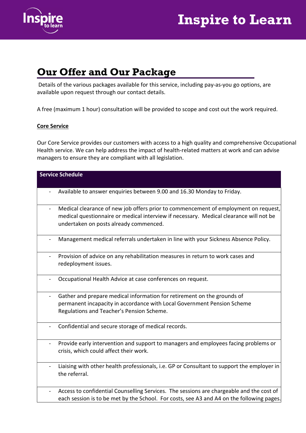



### Our Offer and Our Package

 Details of the various packages available for this service, including pay-as-you go options, are available upon request through our contact details.

A free (maximum 1 hour) consultation will be provided to scope and cost out the work required.

### Core Service

Our Core Service provides our customers with access to a high quality and comprehensive Occupational Health service. We can help address the impact of health-related matters at work and can advise managers to ensure they are compliant with all legislation.

| <b>Service Schedule</b>                                                                                                                                                                                                 |  |  |
|-------------------------------------------------------------------------------------------------------------------------------------------------------------------------------------------------------------------------|--|--|
|                                                                                                                                                                                                                         |  |  |
| Available to answer enquiries between 9.00 and 16.30 Monday to Friday.                                                                                                                                                  |  |  |
| Medical clearance of new job offers prior to commencement of employment on request,<br>medical questionnaire or medical interview if necessary. Medical clearance will not be<br>undertaken on posts already commenced. |  |  |
| Management medical referrals undertaken in line with your Sickness Absence Policy.                                                                                                                                      |  |  |
| Provision of advice on any rehabilitation measures in return to work cases and<br>redeployment issues.                                                                                                                  |  |  |
| Occupational Health Advice at case conferences on request.                                                                                                                                                              |  |  |
| Gather and prepare medical information for retirement on the grounds of<br>permanent incapacity in accordance with Local Government Pension Scheme<br>Regulations and Teacher's Pension Scheme.                         |  |  |
| Confidential and secure storage of medical records.                                                                                                                                                                     |  |  |
| Provide early intervention and support to managers and employees facing problems or<br>crisis, which could affect their work.                                                                                           |  |  |
| Liaising with other health professionals, i.e. GP or Consultant to support the employer in<br>the referral.                                                                                                             |  |  |
| Access to confidential Counselling Services. The sessions are chargeable and the cost of<br>each session is to be met by the School. For costs, see A3 and A4 on the following pages.                                   |  |  |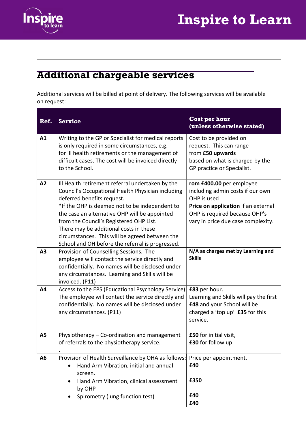



### Additional chargeable services

Additional services will be billed at point of delivery. The following services will be available on request:

| Ref.           | <b>Service</b>                                                                                                                                                                                                                                                                                                                                                                                                                    | Cost per hour<br>(unless otherwise stated)                                                                                                                                                |
|----------------|-----------------------------------------------------------------------------------------------------------------------------------------------------------------------------------------------------------------------------------------------------------------------------------------------------------------------------------------------------------------------------------------------------------------------------------|-------------------------------------------------------------------------------------------------------------------------------------------------------------------------------------------|
| A1             | Writing to the GP or Specialist for medical reports<br>is only required in some circumstances, e.g.<br>for ill health retirements or the management of<br>difficult cases. The cost will be invoiced directly<br>to the School.                                                                                                                                                                                                   | Cost to be provided on<br>request. This can range<br>from £50 upwards<br>based on what is charged by the<br>GP practice or Specialist.                                                    |
| A2             | Ill Health retirement referral undertaken by the<br>Council's Occupational Health Physician including<br>deferred benefits request.<br>*If the OHP is deemed not to be independent to<br>the case an alternative OHP will be appointed<br>from the Council's Registered OHP List.<br>There may be additional costs in these<br>circumstances. This will be agreed between the<br>School and OH before the referral is progressed. | rom £400.00 per employee<br>including admin costs if our own<br>OHP is used<br>Price on application if an external<br>OHP is required because OHP's<br>vary in price due case complexity. |
| A <sub>3</sub> | Provision of Counselling Sessions. The<br>employee will contact the service directly and<br>confidentially. No names will be disclosed under<br>any circumstances. Learning and Skills will be<br>invoiced. (P11)                                                                                                                                                                                                                 | N/A as charges met by Learning and<br><b>Skills</b>                                                                                                                                       |
| A4             | Access to the EPS (Educational Psychology Service)<br>The employee will contact the service directly and<br>confidentially. No names will be disclosed under<br>any circumstances. (P11)                                                                                                                                                                                                                                          | £83 per hour.<br>Learning and Skills will pay the first<br>£48 and your School will be<br>charged a 'top up' <b>£35</b> for this<br>service.                                              |
| <b>A5</b>      | Physiotherapy - Co-ordination and management<br>of referrals to the physiotherapy service.                                                                                                                                                                                                                                                                                                                                        | £50 for initial visit,<br>£30 for follow up                                                                                                                                               |
| A6             | Provision of Health Surveillance by OHA as follows:<br>Hand Arm Vibration, initial and annual<br>screen.<br>Hand Arm Vibration, clinical assessment<br>by OHP<br>Spirometry (lung function test)                                                                                                                                                                                                                                  | Price per appointment.<br>£40<br>£350<br>£40                                                                                                                                              |
|                |                                                                                                                                                                                                                                                                                                                                                                                                                                   | £40                                                                                                                                                                                       |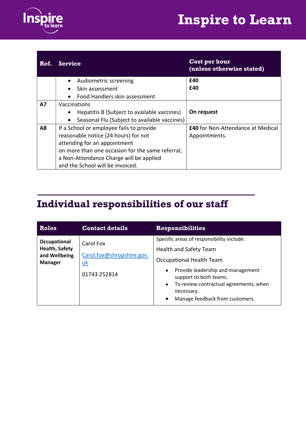## Inspire to Learn



| Ref. | Service                                          | Cost per hour<br>(unless otherwise stated) |
|------|--------------------------------------------------|--------------------------------------------|
|      | Audiometric screening                            | £40                                        |
|      | Skin assessment                                  | £40                                        |
|      | Food Handlers skin assessment                    |                                            |
| A7   | Vaccinations                                     |                                            |
|      | Hepatitis B (Subject to available vaccines)      | On request                                 |
|      | Seasonal Flu (Subject to available vaccines)     |                                            |
| A8   | If a School or employee fails to provide         | <b>£40</b> for Non-Attendance at Medical   |
|      | reasonable notice (24 hours) for not             | Appointments.                              |
|      | attending for an appointment                     |                                            |
|      | on more than one occasion for the same referral, |                                            |
|      | a Non-Attendance Charge will be applied          |                                            |
|      | and the School will be invoiced.                 |                                            |

## Individual responsibilities of our staff

| <b>Roles</b>                                                             | <b>Contact details</b>                                              | <b>Responsibilities</b>                                                                                                                                                                                                                                                                  |
|--------------------------------------------------------------------------|---------------------------------------------------------------------|------------------------------------------------------------------------------------------------------------------------------------------------------------------------------------------------------------------------------------------------------------------------------------------|
| Occupational<br><b>Health, Safety</b><br>and Wellbeing<br><b>Manager</b> | Carol Fox<br>Carol.fox@shropshire.gov.<br><u>uk</u><br>01743 252814 | Specific areas of responsibility include:<br>Health and Safety Team<br>Occupational Health Team<br>Provide leadership and management<br>$\bullet$<br>support to both teams.<br>To review contractual agreements, when<br>$\bullet$<br>necessary.<br>Manage feedback from customers.<br>٠ |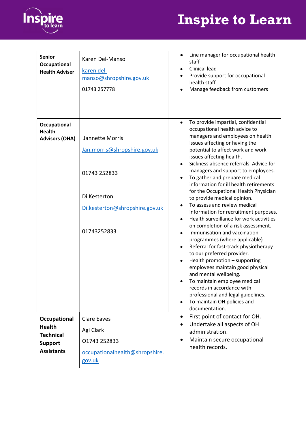



| <b>Senior</b><br>Occupational<br><b>Health Adviser</b>                                   | Karen Del-Manso<br>karen del-<br>manso@shropshire.gov.uk<br>01743 257778                                                         | Line manager for occupational health<br>staff<br>Clinical lead<br>Provide support for occupational<br>health staff<br>Manage feedback from customers                                                                                                                                                                                                                                                                                                                                                                                                                                                                                                                                                                                                                                                                                                                                                                                                                                                                                       |
|------------------------------------------------------------------------------------------|----------------------------------------------------------------------------------------------------------------------------------|--------------------------------------------------------------------------------------------------------------------------------------------------------------------------------------------------------------------------------------------------------------------------------------------------------------------------------------------------------------------------------------------------------------------------------------------------------------------------------------------------------------------------------------------------------------------------------------------------------------------------------------------------------------------------------------------------------------------------------------------------------------------------------------------------------------------------------------------------------------------------------------------------------------------------------------------------------------------------------------------------------------------------------------------|
| <b>Occupational</b><br><b>Health</b><br><b>Advisors (OHA)</b>                            | Jannette Morris<br>Jan.morris@shropshire.gov.uk<br>01743 252833<br>Di Kesterton<br>Di.kesterton@shropshire.gov.uk<br>01743252833 | To provide impartial, confidential<br>$\bullet$<br>occupational health advice to<br>managers and employees on health<br>issues affecting or having the<br>potential to affect work and work<br>issues affecting health.<br>Sickness absence referrals. Advice for<br>$\bullet$<br>managers and support to employees.<br>To gather and prepare medical<br>information for ill health retirements<br>for the Occupational Health Physician<br>to provide medical opinion.<br>To assess and review medical<br>information for recruitment purposes.<br>Health surveillance for work activities<br>on completion of a risk assessment.<br>Immunisation and vaccination<br>programmes (where applicable)<br>Referral for fast-track physiotherapy<br>$\bullet$<br>to our preferred provider.<br>Health promotion - supporting<br>employees maintain good physical<br>and mental wellbeing.<br>To maintain employee medical<br>records in accordance with<br>professional and legal guidelines.<br>To maintain OH policies and<br>documentation. |
| Occupational<br><b>Health</b><br><b>Technical</b><br><b>Support</b><br><b>Assistants</b> | <b>Clare Eaves</b><br>Agi Clark<br>01743 252833<br>occupationalhealth@shropshire.<br>gov.uk                                      | First point of contact for OH.<br>$\bullet$<br>Undertake all aspects of OH<br>administration.<br>Maintain secure occupational<br>health records.                                                                                                                                                                                                                                                                                                                                                                                                                                                                                                                                                                                                                                                                                                                                                                                                                                                                                           |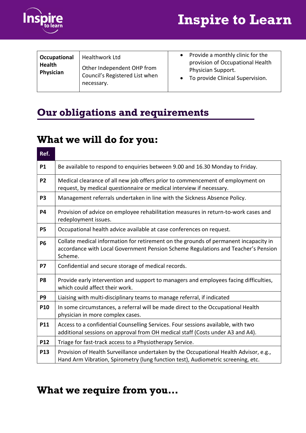



| Occupational<br><b>Health</b><br>Physician | Healthwork Ltd<br>Other Independent OHP from<br>Council's Registered List when<br>necessary. |  | Provide a monthly clinic for the<br>provision of Occupational Health<br>Physician Support.<br>To provide Clinical Supervision. |
|--------------------------------------------|----------------------------------------------------------------------------------------------|--|--------------------------------------------------------------------------------------------------------------------------------|
|--------------------------------------------|----------------------------------------------------------------------------------------------|--|--------------------------------------------------------------------------------------------------------------------------------|

### Our obligations and requirements

### What we will do for you:

| Ref.           |                                                                                                                                                                                      |  |  |
|----------------|--------------------------------------------------------------------------------------------------------------------------------------------------------------------------------------|--|--|
| <b>P1</b>      | Be available to respond to enquiries between 9.00 and 16.30 Monday to Friday.                                                                                                        |  |  |
| P <sub>2</sub> | Medical clearance of all new job offers prior to commencement of employment on<br>request, by medical questionnaire or medical interview if necessary.                               |  |  |
| P <sub>3</sub> | Management referrals undertaken in line with the Sickness Absence Policy.                                                                                                            |  |  |
| <b>P4</b>      | Provision of advice on employee rehabilitation measures in return-to-work cases and<br>redeployment issues.                                                                          |  |  |
| <b>P5</b>      | Occupational health advice available at case conferences on request.                                                                                                                 |  |  |
| <b>P6</b>      | Collate medical information for retirement on the grounds of permanent incapacity in<br>accordance with Local Government Pension Scheme Regulations and Teacher's Pension<br>Scheme. |  |  |
| P7             | Confidential and secure storage of medical records.                                                                                                                                  |  |  |
| P <sub>8</sub> | Provide early intervention and support to managers and employees facing difficulties,<br>which could affect their work.                                                              |  |  |
| P <sub>9</sub> | Liaising with multi-disciplinary teams to manage referral, if indicated                                                                                                              |  |  |
| <b>P10</b>     | In some circumstances, a referral will be made direct to the Occupational Health<br>physician in more complex cases.                                                                 |  |  |
| P11            | Access to a confidential Counselling Services. Four sessions available, with two<br>additional sessions on approval from OH medical staff (Costs under A3 and A4).                   |  |  |
| P12            | Triage for fast-track access to a Physiotherapy Service.                                                                                                                             |  |  |
| P13            | Provision of Health Surveillance undertaken by the Occupational Health Advisor, e.g.,<br>Hand Arm Vibration, Spirometry (lung function test), Audiometric screening, etc.            |  |  |

### What we require from you…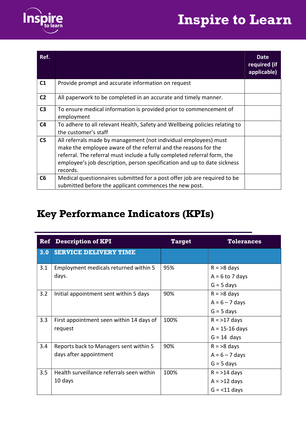## Inspire to Learn



| Ref.           |                                                                                                                                                                                                                                                                                                         | <b>Date</b><br>required (if<br>applicable) |
|----------------|---------------------------------------------------------------------------------------------------------------------------------------------------------------------------------------------------------------------------------------------------------------------------------------------------------|--------------------------------------------|
| C1             | Provide prompt and accurate information on request                                                                                                                                                                                                                                                      |                                            |
| C <sub>2</sub> | All paperwork to be completed in an accurate and timely manner.                                                                                                                                                                                                                                         |                                            |
| C <sub>3</sub> | To ensure medical information is provided prior to commencement of<br>employment                                                                                                                                                                                                                        |                                            |
| C <sub>4</sub> | To adhere to all relevant Health, Safety and Wellbeing policies relating to<br>the customer's staff                                                                                                                                                                                                     |                                            |
| C <sub>5</sub> | All referrals made by management (not individual employees) must<br>make the employee aware of the referral and the reasons for the<br>referral. The referral must include a fully completed referral form, the<br>employee's job description, person specification and up to date sickness<br>records. |                                            |
| C6             | Medical questionnaires submitted for a post offer job are required to be<br>submitted before the applicant commences the new post.                                                                                                                                                                      |                                            |

### Key Performance Indicators (KPIs)

|     | <b>Ref</b> Description of KPI             | <b>Target</b> | <b>Tolerances</b>  |
|-----|-------------------------------------------|---------------|--------------------|
| 3.0 | <b>SERVICE DELIVERY TIME</b>              |               |                    |
| 3.1 | Employment medicals returned within 5     | 95%           | $R = 8$ days       |
|     | days.                                     |               | $A = 6$ to 7 days  |
|     |                                           |               | $G = 5$ days       |
| 3.2 | Initial appointment sent within 5 days    | 90%           | $R = 8$ days       |
|     |                                           |               | $A = 6 - 7$ days   |
|     |                                           |               | $G = 5$ days       |
| 3.3 | First appointment seen within 14 days of  | 100%          | $R = 217$ days     |
|     | request                                   |               | $A = 15 - 16$ days |
|     |                                           |               | $G = 14$ days      |
| 3.4 | Reports back to Managers sent within 5    | 90%           | $R = 8$ days       |
|     | days after appointment                    |               | $A = 6 - 7$ days   |
|     |                                           |               | $G = 5$ days       |
| 3.5 | Health surveillance referrals seen within | 100%          | $R = 214$ days     |
|     | 10 days                                   |               | $A = 212$ days     |
|     |                                           |               | $G = 11$ days      |